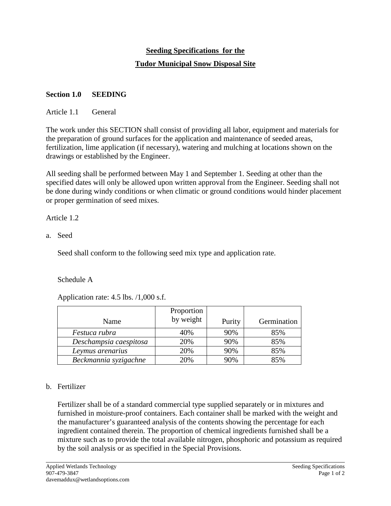# **Seeding Specifications for the Tudor Municipal Snow Disposal Site**

# **Section 1.0 SEEDING**

# Article 1.1 General

The work under this SECTION shall consist of providing all labor, equipment and materials for the preparation of ground surfaces for the application and maintenance of seeded areas, fertilization, lime application (if necessary), watering and mulching at locations shown on the drawings or established by the Engineer.

All seeding shall be performed between May 1 and September 1. Seeding at other than the specified dates will only be allowed upon written approval from the Engineer. Seeding shall not be done during windy conditions or when climatic or ground conditions would hinder placement or proper germination of seed mixes.

# Article 1.2

a. Seed

Seed shall conform to the following seed mix type and application rate.

# Schedule A

Application rate: 4.5 lbs. /1,000 s.f.

|                        | Proportion |        |             |
|------------------------|------------|--------|-------------|
| Name                   | by weight  | Purity | Germination |
| Festuca rubra          | 40%        | 90%    | 85%         |
| Deschampsia caespitosa | 20%        | 90%    | 85%         |
| Leymus arenarius       | 20%        | 90%    | 85%         |
| Beckmannia syzigachne  | 20%        | 90%    | 85%         |

# b. Fertilizer

 $\overline{a}$ 

Fertilizer shall be of a standard commercial type supplied separately or in mixtures and furnished in moisture-proof containers. Each container shall be marked with the weight and the manufacturer's guaranteed analysis of the contents showing the percentage for each ingredient contained therein. The proportion of chemical ingredients furnished shall be a mixture such as to provide the total available nitrogen, phosphoric and potassium as required by the soil analysis or as specified in the Special Provisions.